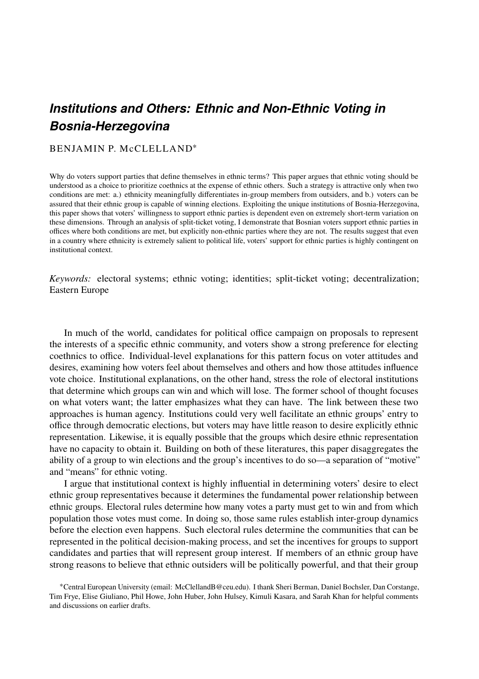# *Institutions and Others: Ethnic and Non-Ethnic Voting in Bosnia-Herzegovina*

# BENJAMIN P. McCLELLAND<sup>\*</sup>

Why do voters support parties that define themselves in ethnic terms? This paper argues that ethnic voting should be understood as a choice to prioritize coethnics at the expense of ethnic others. Such a strategy is attractive only when two conditions are met: a.) ethnicity meaningfully differentiates in-group members from outsiders, and b.) voters can be assured that their ethnic group is capable of winning elections. Exploiting the unique institutions of Bosnia-Herzegovina, this paper shows that voters' willingness to support ethnic parties is dependent even on extremely short-term variation on these dimensions. Through an analysis of split-ticket voting, I demonstrate that Bosnian voters support ethnic parties in offices where both conditions are met, but explicitly non-ethnic parties where they are not. The results suggest that even in a country where ethnicity is extremely salient to political life, voters' support for ethnic parties is highly contingent on institutional context.

*Keywords:* electoral systems; ethnic voting; identities; split-ticket voting; decentralization; Eastern Europe

In much of the world, candidates for political office campaign on proposals to represent the interests of a specific ethnic community, and voters show a strong preference for electing coethnics to office. Individual-level explanations for this pattern focus on voter attitudes and desires, examining how voters feel about themselves and others and how those attitudes influence vote choice. Institutional explanations, on the other hand, stress the role of electoral institutions that determine which groups can win and which will lose. The former school of thought focuses on what voters want; the latter emphasizes what they can have. The link between these two approaches is human agency. Institutions could very well facilitate an ethnic groups' entry to office through democratic elections, but voters may have little reason to desire explicitly ethnic representation. Likewise, it is equally possible that the groups which desire ethnic representation have no capacity to obtain it. Building on both of these literatures, this paper disaggregates the ability of a group to win elections and the group's incentives to do so—a separation of "motive" and "means" for ethnic voting.

I argue that institutional context is highly influential in determining voters' desire to elect ethnic group representatives because it determines the fundamental power relationship between ethnic groups. Electoral rules determine how many votes a party must get to win and from which population those votes must come. In doing so, those same rules establish inter-group dynamics before the election even happens. Such electoral rules determine the communities that can be represented in the political decision-making process, and set the incentives for groups to support candidates and parties that will represent group interest. If members of an ethnic group have strong reasons to believe that ethnic outsiders will be politically powerful, and that their group

<sup>∗</sup>Central European University (email: McClellandB@ceu.edu). I thank Sheri Berman, Daniel Bochsler, Dan Corstange, Tim Frye, Elise Giuliano, Phil Howe, John Huber, John Hulsey, Kimuli Kasara, and Sarah Khan for helpful comments and discussions on earlier drafts.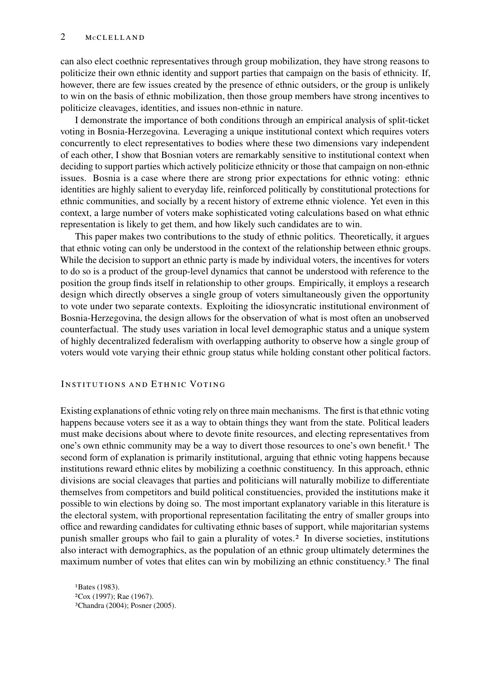can also elect coethnic representatives through group mobilization, they have strong reasons to politicize their own ethnic identity and support parties that campaign on the basis of ethnicity. If, however, there are few issues created by the presence of ethnic outsiders, or the group is unlikely to win on the basis of ethnic mobilization, then those group members have strong incentives to politicize cleavages, identities, and issues non-ethnic in nature.

I demonstrate the importance of both conditions through an empirical analysis of split-ticket voting in Bosnia-Herzegovina. Leveraging a unique institutional context which requires voters concurrently to elect representatives to bodies where these two dimensions vary independent of each other, I show that Bosnian voters are remarkably sensitive to institutional context when deciding to support parties which actively politicize ethnicity or those that campaign on non-ethnic issues. Bosnia is a case where there are strong prior expectations for ethnic voting: ethnic identities are highly salient to everyday life, reinforced politically by constitutional protections for ethnic communities, and socially by a recent history of extreme ethnic violence. Yet even in this context, a large number of voters make sophisticated voting calculations based on what ethnic representation is likely to get them, and how likely such candidates are to win.

This paper makes two contributions to the study of ethnic politics. Theoretically, it argues that ethnic voting can only be understood in the context of the relationship between ethnic groups. While the decision to support an ethnic party is made by individual voters, the incentives for voters to do so is a product of the group-level dynamics that cannot be understood with reference to the position the group finds itself in relationship to other groups. Empirically, it employs a research design which directly observes a single group of voters simultaneously given the opportunity to vote under two separate contexts. Exploiting the idiosyncratic institutional environment of Bosnia-Herzegovina, the design allows for the observation of what is most often an unobserved counterfactual. The study uses variation in local level demographic status and a unique system of highly decentralized federalism with overlapping authority to observe how a single group of voters would vote varying their ethnic group status while holding constant other political factors.

#### INSTITUTIONS AND ETHNIC VOTING

Existing explanations of ethnic voting rely on three main mechanisms. The first is that ethnic voting happens because voters see it as a way to obtain things they want from the state. Political leaders must make decisions about where to devote finite resources, and electing representatives from one's own ethnic community may be a way to divert those resources to one's own benefit.[1](#page-1-0) The second form of explanation is primarily institutional, arguing that ethnic voting happens because institutions reward ethnic elites by mobilizing a coethnic constituency. In this approach, ethnic divisions are social cleavages that parties and politicians will naturally mobilize to differentiate themselves from competitors and build political constituencies, provided the institutions make it possible to win elections by doing so. The most important explanatory variable in this literature is the electoral system, with proportional representation facilitating the entry of smaller groups into office and rewarding candidates for cultivating ethnic bases of support, while majoritarian systems punish smaller groups who fail to gain a plurality of votes.[2](#page-1-1) In diverse societies, institutions also interact with demographics, as the population of an ethnic group ultimately determines the maximum number of votes that elites can win by mobilizing an ethnic constituency.[3](#page-1-2) The final

<span id="page-1-2"></span><span id="page-1-1"></span><span id="page-1-0"></span>1[Bates](#page-14-0) [\(1983\)](#page-14-0). 2[Cox](#page-15-0) [\(1997\)](#page-15-0); [Rae](#page-17-0) [\(1967\)](#page-17-0). 3[Chandra](#page-15-1) [\(2004\)](#page-15-1); [Posner](#page-17-1) [\(2005\)](#page-17-1).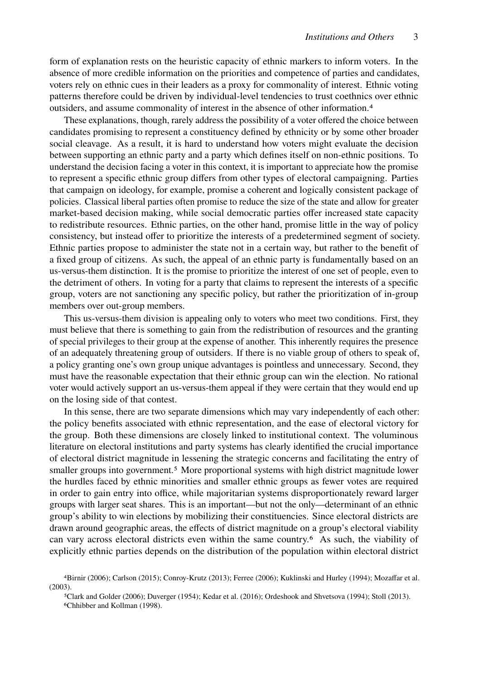form of explanation rests on the heuristic capacity of ethnic markers to inform voters. In the absence of more credible information on the priorities and competence of parties and candidates, voters rely on ethnic cues in their leaders as a proxy for commonality of interest. Ethnic voting patterns therefore could be driven by individual-level tendencies to trust coethnics over ethnic outsiders, and assume commonality of interest in the absence of other information.[4](#page-2-0)

These explanations, though, rarely address the possibility of a voter offered the choice between candidates promising to represent a constituency defined by ethnicity or by some other broader social cleavage. As a result, it is hard to understand how voters might evaluate the decision between supporting an ethnic party and a party which defines itself on non-ethnic positions. To understand the decision facing a voter in this context, it is important to appreciate how the promise to represent a specific ethnic group differs from other types of electoral campaigning. Parties that campaign on ideology, for example, promise a coherent and logically consistent package of policies. Classical liberal parties often promise to reduce the size of the state and allow for greater market-based decision making, while social democratic parties offer increased state capacity to redistribute resources. Ethnic parties, on the other hand, promise little in the way of policy consistency, but instead offer to prioritize the interests of a predetermined segment of society. Ethnic parties propose to administer the state not in a certain way, but rather to the benefit of a fixed group of citizens. As such, the appeal of an ethnic party is fundamentally based on an us-versus-them distinction. It is the promise to prioritize the interest of one set of people, even to the detriment of others. In voting for a party that claims to represent the interests of a specific group, voters are not sanctioning any specific policy, but rather the prioritization of in-group members over out-group members.

This us-versus-them division is appealing only to voters who meet two conditions. First, they must believe that there is something to gain from the redistribution of resources and the granting of special privileges to their group at the expense of another. This inherently requires the presence of an adequately threatening group of outsiders. If there is no viable group of others to speak of, a policy granting one's own group unique advantages is pointless and unnecessary. Second, they must have the reasonable expectation that their ethnic group can win the election. No rational voter would actively support an us-versus-them appeal if they were certain that they would end up on the losing side of that contest.

In this sense, there are two separate dimensions which may vary independently of each other: the policy benefits associated with ethnic representation, and the ease of electoral victory for the group. Both these dimensions are closely linked to institutional context. The voluminous literature on electoral institutions and party systems has clearly identified the crucial importance of electoral district magnitude in lessening the strategic concerns and facilitating the entry of smaller groups into government.<sup>[5](#page-2-1)</sup> More proportional systems with high district magnitude lower the hurdles faced by ethnic minorities and smaller ethnic groups as fewer votes are required in order to gain entry into office, while majoritarian systems disproportionately reward larger groups with larger seat shares. This is an important—but not the only—determinant of an ethnic group's ability to win elections by mobilizing their constituencies. Since electoral districts are drawn around geographic areas, the effects of district magnitude on a group's electoral viability can vary across electoral districts even within the same country.[6](#page-2-2) As such, the viability of explicitly ethnic parties depends on the distribution of the population within electoral district

<span id="page-2-0"></span><sup>4</sup>[Birnir](#page-14-1) [\(2006\)](#page-14-1); [Carlson](#page-15-2) [\(2015\)](#page-15-2); [Conroy-Krutz](#page-15-3) [\(2013\)](#page-15-3); [Ferree](#page-15-4) [\(2006\)](#page-15-4); [Kuklinski and Hurley](#page-16-0) [\(1994\)](#page-16-0); [Mozaffar et al.](#page-16-1) [\(2003\)](#page-16-1).

<span id="page-2-2"></span><span id="page-2-1"></span><sup>5</sup>[Clark and Golder](#page-15-5) [\(2006\)](#page-15-5); [Duverger](#page-15-6) [\(1954\)](#page-15-6); [Kedar et al.](#page-16-2) [\(2016\)](#page-16-2); [Ordeshook and Shvetsova](#page-17-2) [\(1994\)](#page-17-2); [Stoll](#page-17-3) [\(2013\)](#page-17-3). 6[Chhibber and Kollman](#page-15-7) [\(1998\)](#page-15-7).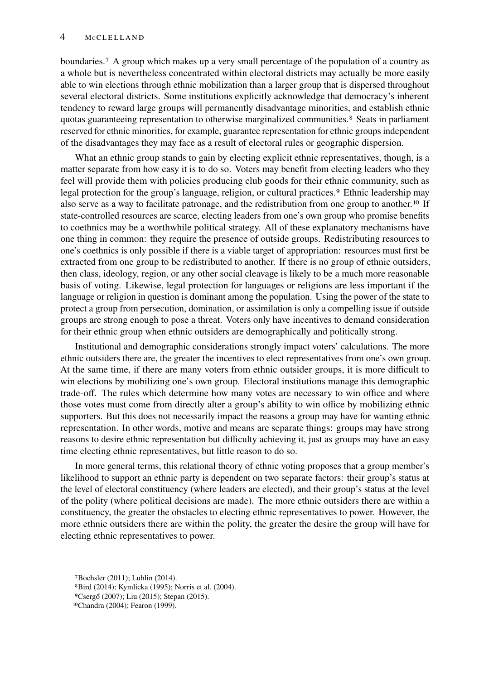boundaries.[7](#page-3-0) A group which makes up a very small percentage of the population of a country as a whole but is nevertheless concentrated within electoral districts may actually be more easily able to win elections through ethnic mobilization than a larger group that is dispersed throughout several electoral districts. Some institutions explicitly acknowledge that democracy's inherent tendency to reward large groups will permanently disadvantage minorities, and establish ethnic quotas guaranteeing representation to otherwise marginalized communities.<sup>[8](#page-3-1)</sup> Seats in parliament reserved for ethnic minorities, for example, guarantee representation for ethnic groups independent of the disadvantages they may face as a result of electoral rules or geographic dispersion.

What an ethnic group stands to gain by electing explicit ethnic representatives, though, is a matter separate from how easy it is to do so. Voters may benefit from electing leaders who they feel will provide them with policies producing club goods for their ethnic community, such as legal protection for the group's language, religion, or cultural practices.<sup>[9](#page-3-2)</sup> Ethnic leadership may also serve as a way to facilitate patronage, and the redistribution from one group to another.[10](#page-3-3) If state-controlled resources are scarce, electing leaders from one's own group who promise benefits to coethnics may be a worthwhile political strategy. All of these explanatory mechanisms have one thing in common: they require the presence of outside groups. Redistributing resources to one's coethnics is only possible if there is a viable target of appropriation: resources must first be extracted from one group to be redistributed to another. If there is no group of ethnic outsiders, then class, ideology, region, or any other social cleavage is likely to be a much more reasonable basis of voting. Likewise, legal protection for languages or religions are less important if the language or religion in question is dominant among the population. Using the power of the state to protect a group from persecution, domination, or assimilation is only a compelling issue if outside groups are strong enough to pose a threat. Voters only have incentives to demand consideration for their ethnic group when ethnic outsiders are demographically and politically strong.

Institutional and demographic considerations strongly impact voters' calculations. The more ethnic outsiders there are, the greater the incentives to elect representatives from one's own group. At the same time, if there are many voters from ethnic outsider groups, it is more difficult to win elections by mobilizing one's own group. Electoral institutions manage this demographic trade-off. The rules which determine how many votes are necessary to win office and where those votes must come from directly alter a group's ability to win office by mobilizing ethnic supporters. But this does not necessarily impact the reasons a group may have for wanting ethnic representation. In other words, motive and means are separate things: groups may have strong reasons to desire ethnic representation but difficulty achieving it, just as groups may have an easy time electing ethnic representatives, but little reason to do so.

In more general terms, this relational theory of ethnic voting proposes that a group member's likelihood to support an ethnic party is dependent on two separate factors: their group's status at the level of electoral constituency (where leaders are elected), and their group's status at the level of the polity (where political decisions are made). The more ethnic outsiders there are within a constituency, the greater the obstacles to electing ethnic representatives to power. However, the more ethnic outsiders there are within the polity, the greater the desire the group will have for electing ethnic representatives to power.

<span id="page-3-0"></span><sup>7</sup>[Bochsler](#page-14-2) [\(2011\)](#page-14-2); [Lublin](#page-16-3) [\(2014\)](#page-16-3).

<span id="page-3-1"></span><sup>8</sup>[Bird](#page-14-3) [\(2014\)](#page-14-3); [Kymlicka](#page-16-4) [\(1995\)](#page-16-4); [Norris et al.](#page-17-4) [\(2004\)](#page-17-4).

<span id="page-3-2"></span><sup>9</sup>[Csergő](#page-15-8) [\(2007\)](#page-15-8); [Liu](#page-16-5) [\(2015\)](#page-16-5); [Stepan](#page-17-5) [\(2015\)](#page-17-5).

<span id="page-3-3"></span><sup>10</sup>[Chandra](#page-15-1) [\(2004\)](#page-15-1); [Fearon](#page-15-9) [\(1999\)](#page-15-9).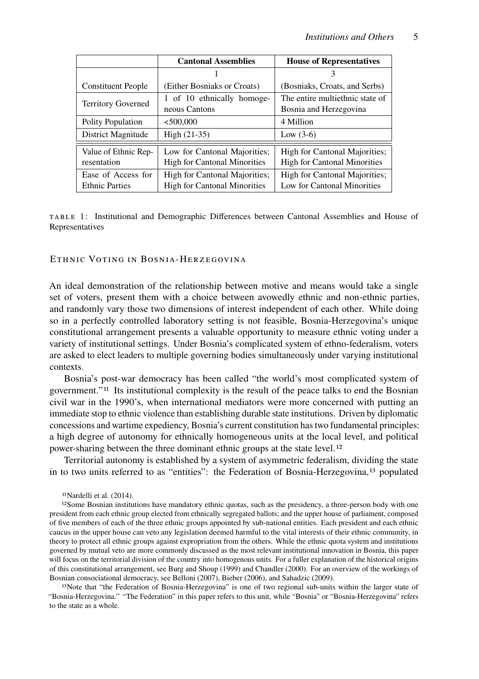<span id="page-4-3"></span>

|                                             | <b>Cantonal Assemblies</b>                                           | <b>House of Representatives</b>                                      |  |
|---------------------------------------------|----------------------------------------------------------------------|----------------------------------------------------------------------|--|
|                                             |                                                                      | 3                                                                    |  |
| <b>Constituent People</b>                   | (Either Bosniaks or Croats)                                          | (Bosniaks, Croats, and Serbs)                                        |  |
| <b>Territory Governed</b>                   | 1 of 10 ethnically homoge-<br>neous Cantons                          | The entire multiethnic state of<br>Bosnia and Herzegovina            |  |
| Polity Population                           | < 500,000                                                            | 4 Million                                                            |  |
| District Magnitude                          | $High (21-35)$                                                       | Low $(3-6)$                                                          |  |
| Value of Ethnic Rep-<br>resentation         | Low for Cantonal Majorities;<br><b>High for Cantonal Minorities</b>  | High for Cantonal Majorities;<br><b>High for Cantonal Minorities</b> |  |
| Ease of Access for<br><b>Ethnic Parties</b> | High for Cantonal Majorities;<br><b>High for Cantonal Minorities</b> | <b>High for Cantonal Majorities:</b><br>Low for Cantonal Minorities  |  |

TABLE 1: Institutional and Demographic Differences between Cantonal Assemblies and House of Representatives

#### ETHNIC VOTING IN BOSNIA-HERZEGOVINA

An ideal demonstration of the relationship between motive and means would take a single set of voters, present them with a choice between avowedly ethnic and non-ethnic parties, and randomly vary those two dimensions of interest independent of each other. While doing so in a perfectly controlled laboratory setting is not feasible, Bosnia-Herzegovina's unique constitutional arrangement presents a valuable opportunity to measure ethnic voting under a variety of institutional settings. Under Bosnia's complicated system of ethno-federalism, voters are asked to elect leaders to multiple governing bodies simultaneously under varying institutional contexts.

Bosnia's post-war democracy has been called "the world's most complicated system of government."[11](#page-4-0) Its institutional complexity is the result of the peace talks to end the Bosnian civil war in the 1990's, when international mediators were more concerned with putting an immediate stop to ethnic violence than establishing durable state institutions. Driven by diplomatic concessions and wartime expediency, Bosnia's current constitution has two fundamental principles: a high degree of autonomy for ethnically homogeneous units at the local level, and political power-sharing between the three dominant ethnic groups at the state level.[12](#page-4-1)

Territorial autonomy is established by a system of asymmetric federalism, dividing the state in to two units referred to as "entities": the Federation of Bosnia-Herzegovina,[13](#page-4-2) populated

<span id="page-4-1"></span><span id="page-4-0"></span>11[Nardelli et al.](#page-16-6) [\(2014\)](#page-16-6).

<sup>12</sup>Some Bosnian institutions have mandatory ethnic quotas, such as the presidency, a three-person body with one president from each ethnic group elected from ethnically segregated ballots; and the upper house of parliament, composed of five members of each of the three ethnic groups appointed by sub-national entities. Each president and each ethnic caucus in the upper house can veto any legislation deemed harmful to the vital interests of their ethnic community, in theory to protect all ethnic groups against expropriation from the others. While the ethnic quota system and institutions governed by mutual veto are more commonly discussed as the most relevant institutional innovation in Bosnia, this paper will focus on the territorial division of the country into homogenous units. For a fuller explanation of the historical origins of this constitutional arrangement, see [Burg and Shoup](#page-15-10) [\(1999\)](#page-15-10) and [Chandler](#page-15-11) [\(2000\)](#page-15-11). For an overview of the workings of Bosnian consociational democracy, see [Belloni](#page-14-4) [\(2007\)](#page-14-4), [Bieber](#page-14-5) [\(2006\)](#page-14-5), and [Sahadzic](#page-17-6) [\(2009\)](#page-17-6).

<span id="page-4-2"></span>13Note that "the Federation of Bosnia-Herzegovina" is one of two regional sub-units within the larger state of "Bosnia-Herzegovina." "The Federation" in this paper refers to this unit, while "Bosnia" or "Bosnia-Herzegovina" refers to the state as a whole.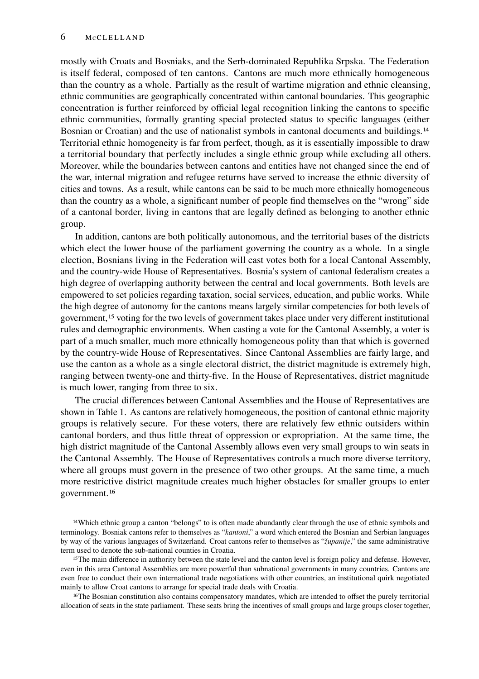mostly with Croats and Bosniaks, and the Serb-dominated Republika Srpska. The Federation is itself federal, composed of ten cantons. Cantons are much more ethnically homogeneous than the country as a whole. Partially as the result of wartime migration and ethnic cleansing, ethnic communities are geographically concentrated within cantonal boundaries. This geographic concentration is further reinforced by official legal recognition linking the cantons to specific ethnic communities, formally granting special protected status to specific languages (either Bosnian or Croatian) and the use of nationalist symbols in cantonal documents and buildings.<sup>[14](#page-5-0)</sup> Territorial ethnic homogeneity is far from perfect, though, as it is essentially impossible to draw a territorial boundary that perfectly includes a single ethnic group while excluding all others. Moreover, while the boundaries between cantons and entities have not changed since the end of the war, internal migration and refugee returns have served to increase the ethnic diversity of cities and towns. As a result, while cantons can be said to be much more ethnically homogeneous than the country as a whole, a significant number of people find themselves on the "wrong" side of a cantonal border, living in cantons that are legally defined as belonging to another ethnic group.

In addition, cantons are both politically autonomous, and the territorial bases of the districts which elect the lower house of the parliament governing the country as a whole. In a single election, Bosnians living in the Federation will cast votes both for a local Cantonal Assembly, and the country-wide House of Representatives. Bosnia's system of cantonal federalism creates a high degree of overlapping authority between the central and local governments. Both levels are empowered to set policies regarding taxation, social services, education, and public works. While the high degree of autonomy for the cantons means largely similar competencies for both levels of government,[15](#page-5-1) voting for the two levels of government takes place under very different institutional rules and demographic environments. When casting a vote for the Cantonal Assembly, a voter is part of a much smaller, much more ethnically homogeneous polity than that which is governed by the country-wide House of Representatives. Since Cantonal Assemblies are fairly large, and use the canton as a whole as a single electoral district, the district magnitude is extremely high, ranging between twenty-one and thirty-five. In the House of Representatives, district magnitude is much lower, ranging from three to six.

The crucial differences between Cantonal Assemblies and the House of Representatives are shown in Table [1.](#page-4-3) As cantons are relatively homogeneous, the position of cantonal ethnic majority groups is relatively secure. For these voters, there are relatively few ethnic outsiders within cantonal borders, and thus little threat of oppression or expropriation. At the same time, the high district magnitude of the Cantonal Assembly allows even very small groups to win seats in the Cantonal Assembly. The House of Representatives controls a much more diverse territory, where all groups must govern in the presence of two other groups. At the same time, a much more restrictive district magnitude creates much higher obstacles for smaller groups to enter government.[16](#page-5-2)

<span id="page-5-0"></span>14Which ethnic group a canton "belongs" to is often made abundantly clear through the use of ethnic symbols and terminology. Bosniak cantons refer to themselves as "*kantoni*," a word which entered the Bosnian and Serbian languages by way of the various languages of Switzerland. Croat cantons refer to themselves as "*županije*," the same administrative term used to denote the sub-national counties in Croatia.

<span id="page-5-1"></span><sup>15</sup>The main difference in authority between the state level and the canton level is foreign policy and defense. However, even in this area Cantonal Assemblies are more powerful than subnational governments in many countries. Cantons are even free to conduct their own international trade negotiations with other countries, an institutional quirk negotiated mainly to allow Croat cantons to arrange for special trade deals with Croatia.

<span id="page-5-2"></span>16The Bosnian constitution also contains compensatory mandates, which are intended to offset the purely territorial allocation of seats in the state parliament. These seats bring the incentives of small groups and large groups closer together,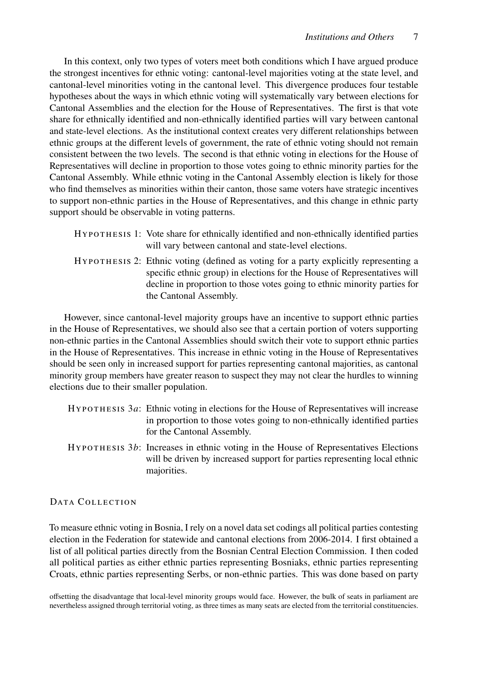In this context, only two types of voters meet both conditions which I have argued produce the strongest incentives for ethnic voting: cantonal-level majorities voting at the state level, and cantonal-level minorities voting in the cantonal level. This divergence produces four testable hypotheses about the ways in which ethnic voting will systematically vary between elections for Cantonal Assemblies and the election for the House of Representatives. The first is that vote share for ethnically identified and non-ethnically identified parties will vary between cantonal and state-level elections. As the institutional context creates very different relationships between ethnic groups at the different levels of government, the rate of ethnic voting should not remain consistent between the two levels. The second is that ethnic voting in elections for the House of Representatives will decline in proportion to those votes going to ethnic minority parties for the Cantonal Assembly. While ethnic voting in the Cantonal Assembly election is likely for those who find themselves as minorities within their canton, those same voters have strategic incentives to support non-ethnic parties in the House of Representatives, and this change in ethnic party support should be observable in voting patterns.

| HYPOTHESIS 1: Vote share for ethnically identified and non-ethnically identified parties |
|------------------------------------------------------------------------------------------|
| will vary between cantonal and state-level elections.                                    |
| HYPOTHESIS 2: Ethnic voting (defined as voting for a party explicitly representing a     |
| specific ethnic group) in elections for the House of Representatives will                |
| decline in proportion to those votes going to ethnic minority parties for                |

However, since cantonal-level majority groups have an incentive to support ethnic parties in the House of Representatives, we should also see that a certain portion of voters supporting non-ethnic parties in the Cantonal Assemblies should switch their vote to support ethnic parties in the House of Representatives. This increase in ethnic voting in the House of Representatives should be seen only in increased support for parties representing cantonal majorities, as cantonal minority group members have greater reason to suspect they may not clear the hurdles to winning elections due to their smaller population.

the Cantonal Assembly.

| $HYP$ or $HESIS$ 3a: Ethnic voting in elections for the House of Representatives will increase |
|------------------------------------------------------------------------------------------------|
| in proportion to those votes going to non-ethnically identified parties                        |
| for the Cantonal Assembly.                                                                     |

HYPOTHESIS  $3b$ : Increases in ethnic voting in the House of Representatives Elections will be driven by increased support for parties representing local ethnic majorities.

# DATA COLLECTION

To measure ethnic voting in Bosnia, I rely on a novel data set codings all political parties contesting election in the Federation for statewide and cantonal elections from 2006-2014. I first obtained a list of all political parties directly from the Bosnian Central Election Commission. I then coded all political parties as either ethnic parties representing Bosniaks, ethnic parties representing Croats, ethnic parties representing Serbs, or non-ethnic parties. This was done based on party

offsetting the disadvantage that local-level minority groups would face. However, the bulk of seats in parliament are nevertheless assigned through territorial voting, as three times as many seats are elected from the territorial constituencies.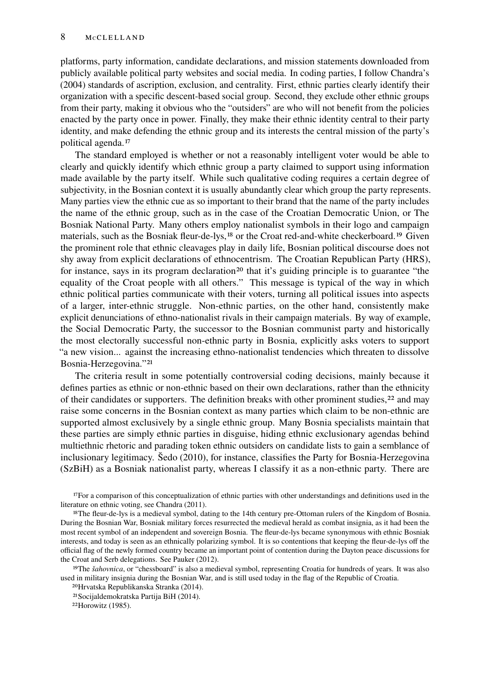platforms, party information, candidate declarations, and mission statements downloaded from publicly available political party websites and social media. In coding parties, I follow [Chandra'](#page-15-1)s [\(2004\)](#page-15-1) standards of ascription, exclusion, and centrality. First, ethnic parties clearly identify their organization with a specific descent-based social group. Second, they exclude other ethnic groups from their party, making it obvious who the "outsiders" are who will not benefit from the policies enacted by the party once in power. Finally, they make their ethnic identity central to their party identity, and make defending the ethnic group and its interests the central mission of the party's political agenda.<sup>[17](#page-7-0)</sup>

The standard employed is whether or not a reasonably intelligent voter would be able to clearly and quickly identify which ethnic group a party claimed to support using information made available by the party itself. While such qualitative coding requires a certain degree of subjectivity, in the Bosnian context it is usually abundantly clear which group the party represents. Many parties view the ethnic cue as so important to their brand that the name of the party includes the name of the ethnic group, such as in the case of the Croatian Democratic Union, or The Bosniak National Party. Many others employ nationalist symbols in their logo and campaign materials, such as the Bosniak fleur-de-lys,[18](#page-7-1) or the Croat red-and-white checkerboard.[19](#page-7-2) Given the prominent role that ethnic cleavages play in daily life, Bosnian political discourse does not shy away from explicit declarations of ethnocentrism. The Croatian Republican Party (HRS), for instance, says in its program declaration<sup>[20](#page-7-3)</sup> that it's guiding principle is to guarantee "the equality of the Croat people with all others." This message is typical of the way in which ethnic political parties communicate with their voters, turning all political issues into aspects of a larger, inter-ethnic struggle. Non-ethnic parties, on the other hand, consistently make explicit denunciations of ethno-nationalist rivals in their campaign materials. By way of example, the Social Democratic Party, the successor to the Bosnian communist party and historically the most electorally successful non-ethnic party in Bosnia, explicitly asks voters to support "a new vision... against the increasing ethno-nationalist tendencies which threaten to dissolve Bosnia-Herzegovina."[21](#page-7-4)

The criteria result in some potentially controversial coding decisions, mainly because it defines parties as ethnic or non-ethnic based on their own declarations, rather than the ethnicity of their candidates or supporters. The definition breaks with other prominent studies,<sup>[22](#page-7-5)</sup> and may raise some concerns in the Bosnian context as many parties which claim to be non-ethnic are supported almost exclusively by a single ethnic group. Many Bosnia specialists maintain that these parties are simply ethnic parties in disguise, hiding ethnic exclusionary agendas behind multiethnic rhetoric and parading token ethnic outsiders on candidate lists to gain a semblance of inclusionary legitimacy. [Šedo](#page-17-7) [\(2010\)](#page-17-7), for instance, classifies the Party for Bosnia-Herzegovina (SzBiH) as a Bosniak nationalist party, whereas I classify it as a non-ethnic party. There are

<span id="page-7-0"></span>17For a comparison of this conceptualization of ethnic parties with other understandings and definitions used in the literature on ethnic voting, see [Chandra](#page-15-12) [\(2011\)](#page-15-12).

<span id="page-7-1"></span>18The fleur-de-lys is a medieval symbol, dating to the 14th century pre-Ottoman rulers of the Kingdom of Bosnia. During the Bosnian War, Bosniak military forces resurrected the medieval herald as combat insignia, as it had been the most recent symbol of an independent and sovereign Bosnia. The fleur-de-lys became synonymous with ethnic Bosniak interests, and today is seen as an ethnically polarizing symbol. It is so contentions that keeping the fleur-de-lys off the official flag of the newly formed country became an important point of contention during the Dayton peace discussions for the Croat and Serb delegations. See [Pauker](#page-17-8) [\(2012\)](#page-17-8).

<span id="page-7-2"></span>19The *šahovnica*, or "chessboard" is also a medieval symbol, representing Croatia for hundreds of years. It was also used in military insignia during the Bosnian War, and is still used today in the flag of the Republic of Croatia.

<span id="page-7-3"></span>20[Hrvatska Republikanska Stranka](#page-16-7) [\(2014\)](#page-16-7).

<span id="page-7-4"></span>21[Socijaldemokratska Partija BiH](#page-17-9) [\(2014\)](#page-17-9).

<span id="page-7-5"></span>22[Horowitz](#page-16-8) [\(1985\)](#page-16-8).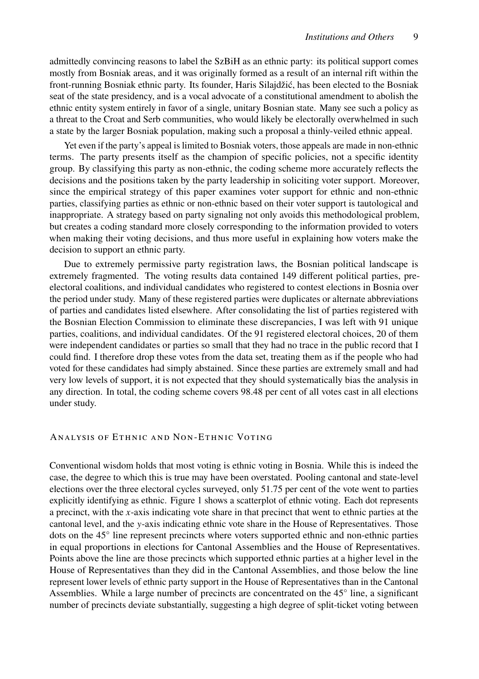admittedly convincing reasons to label the SzBiH as an ethnic party: its political support comes mostly from Bosniak areas, and it was originally formed as a result of an internal rift within the front-running Bosniak ethnic party. Its founder, Haris Silajdžić, has been elected to the Bosniak seat of the state presidency, and is a vocal advocate of a constitutional amendment to abolish the ethnic entity system entirely in favor of a single, unitary Bosnian state. Many see such a policy as a threat to the Croat and Serb communities, who would likely be electorally overwhelmed in such a state by the larger Bosniak population, making such a proposal a thinly-veiled ethnic appeal.

Yet even if the party's appeal is limited to Bosniak voters, those appeals are made in non-ethnic terms. The party presents itself as the champion of specific policies, not a specific identity group. By classifying this party as non-ethnic, the coding scheme more accurately reflects the decisions and the positions taken by the party leadership in soliciting voter support. Moreover, since the empirical strategy of this paper examines voter support for ethnic and non-ethnic parties, classifying parties as ethnic or non-ethnic based on their voter support is tautological and inappropriate. A strategy based on party signaling not only avoids this methodological problem, but creates a coding standard more closely corresponding to the information provided to voters when making their voting decisions, and thus more useful in explaining how voters make the decision to support an ethnic party.

Due to extremely permissive party registration laws, the Bosnian political landscape is extremely fragmented. The voting results data contained 149 different political parties, preelectoral coalitions, and individual candidates who registered to contest elections in Bosnia over the period under study. Many of these registered parties were duplicates or alternate abbreviations of parties and candidates listed elsewhere. After consolidating the list of parties registered with the Bosnian Election Commission to eliminate these discrepancies, I was left with 91 unique parties, coalitions, and individual candidates. Of the 91 registered electoral choices, 20 of them were independent candidates or parties so small that they had no trace in the public record that I could find. I therefore drop these votes from the data set, treating them as if the people who had voted for these candidates had simply abstained. Since these parties are extremely small and had very low levels of support, it is not expected that they should systematically bias the analysis in any direction. In total, the coding scheme covers 98.48 per cent of all votes cast in all elections under study.

#### ANALYSIS OF ETHNIC AND NON-ETHNIC VOTING

Conventional wisdom holds that most voting is ethnic voting in Bosnia. While this is indeed the case, the degree to which this is true may have been overstated. Pooling cantonal and state-level elections over the three electoral cycles surveyed, only 51.75 per cent of the vote went to parties explicitly identifying as ethnic. Figure [1](#page-9-0) shows a scatterplot of ethnic voting. Each dot represents a precinct, with the  $x$ -axis indicating vote share in that precinct that went to ethnic parties at the cantonal level, and the y-axis indicating ethnic vote share in the House of Representatives. Those dots on the 45° line represent precincts where voters supported ethnic and non-ethnic parties in equal proportions in elections for Cantonal Assemblies and the House of Representatives. Points above the line are those precincts which supported ethnic parties at a higher level in the House of Representatives than they did in the Cantonal Assemblies, and those below the line represent lower levels of ethnic party support in the House of Representatives than in the Cantonal Assemblies. While a large number of precincts are concentrated on the 45◦ line, a significant number of precincts deviate substantially, suggesting a high degree of split-ticket voting between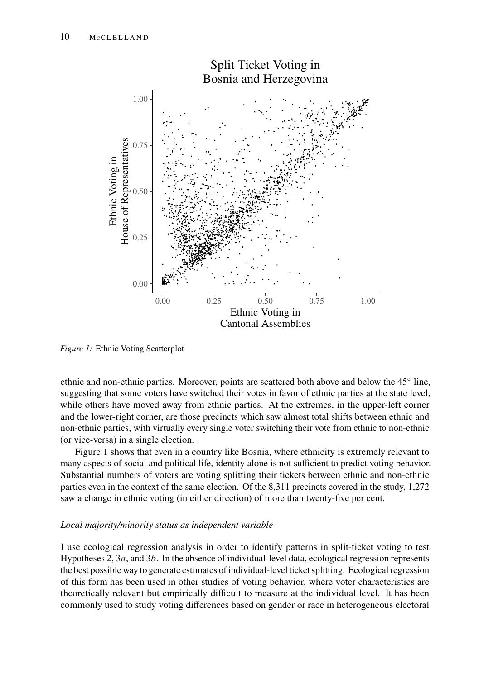<span id="page-9-0"></span>

*Figure 1:* Ethnic Voting Scatterplot

ethnic and non-ethnic parties. Moreover, points are scattered both above and below the 45° line, suggesting that some voters have switched their votes in favor of ethnic parties at the state level, while others have moved away from ethnic parties. At the extremes, in the upper-left corner and the lower-right corner, are those precincts which saw almost total shifts between ethnic and non-ethnic parties, with virtually every single voter switching their vote from ethnic to non-ethnic (or vice-versa) in a single election.

Figure [1](#page-9-0) shows that even in a country like Bosnia, where ethnicity is extremely relevant to many aspects of social and political life, identity alone is not sufficient to predict voting behavior. Substantial numbers of voters are voting splitting their tickets between ethnic and non-ethnic parties even in the context of the same election. Of the 8,311 precincts covered in the study, 1,272 saw a change in ethnic voting (in either direction) of more than twenty-five per cent.

# *Local majority/minority status as independent variable*

I use ecological regression analysis in order to identify patterns in split-ticket voting to test Hypotheses 2,  $3a$ , and  $3b$ . In the absence of individual-level data, ecological regression represents the best possible way to generate estimates of individual-level ticket splitting. Ecological regression of this form has been used in other studies of voting behavior, where voter characteristics are theoretically relevant but empirically difficult to measure at the individual level. It has been commonly used to study voting differences based on gender or race in heterogeneous electoral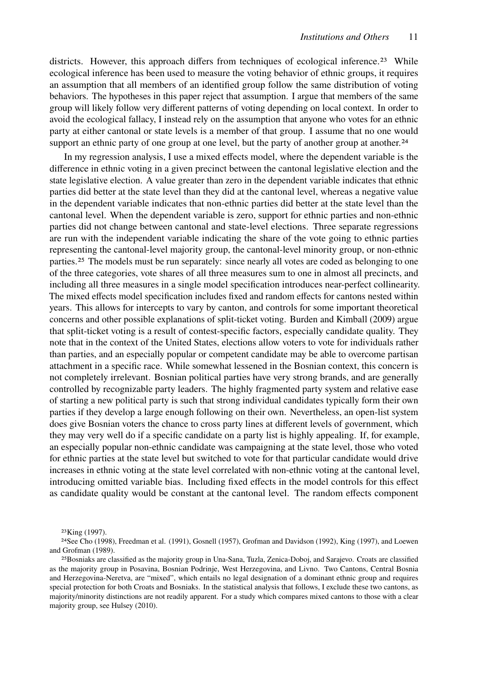districts. However, this approach differs from techniques of ecological inference.<sup>[23](#page-10-0)</sup> While ecological inference has been used to measure the voting behavior of ethnic groups, it requires an assumption that all members of an identified group follow the same distribution of voting behaviors. The hypotheses in this paper reject that assumption. I argue that members of the same group will likely follow very different patterns of voting depending on local context. In order to avoid the ecological fallacy, I instead rely on the assumption that anyone who votes for an ethnic party at either cantonal or state levels is a member of that group. I assume that no one would support an ethnic party of one group at one level, but the party of another group at another.<sup>[24](#page-10-1)</sup>

In my regression analysis, I use a mixed effects model, where the dependent variable is the difference in ethnic voting in a given precinct between the cantonal legislative election and the state legislative election. A value greater than zero in the dependent variable indicates that ethnic parties did better at the state level than they did at the cantonal level, whereas a negative value in the dependent variable indicates that non-ethnic parties did better at the state level than the cantonal level. When the dependent variable is zero, support for ethnic parties and non-ethnic parties did not change between cantonal and state-level elections. Three separate regressions are run with the independent variable indicating the share of the vote going to ethnic parties representing the cantonal-level majority group, the cantonal-level minority group, or non-ethnic parties.[25](#page-10-2) The models must be run separately: since nearly all votes are coded as belonging to one of the three categories, vote shares of all three measures sum to one in almost all precincts, and including all three measures in a single model specification introduces near-perfect collinearity. The mixed effects model specification includes fixed and random effects for cantons nested within years. This allows for intercepts to vary by canton, and controls for some important theoretical concerns and other possible explanations of split-ticket voting. [Burden and Kimball](#page-15-13) [\(2009\)](#page-15-13) argue that split-ticket voting is a result of contest-specific factors, especially candidate quality. They note that in the context of the United States, elections allow voters to vote for individuals rather than parties, and an especially popular or competent candidate may be able to overcome partisan attachment in a specific race. While somewhat lessened in the Bosnian context, this concern is not completely irrelevant. Bosnian political parties have very strong brands, and are generally controlled by recognizable party leaders. The highly fragmented party system and relative ease of starting a new political party is such that strong individual candidates typically form their own parties if they develop a large enough following on their own. Nevertheless, an open-list system does give Bosnian voters the chance to cross party lines at different levels of government, which they may very well do if a specific candidate on a party list is highly appealing. If, for example, an especially popular non-ethnic candidate was campaigning at the state level, those who voted for ethnic parties at the state level but switched to vote for that particular candidate would drive increases in ethnic voting at the state level correlated with non-ethnic voting at the cantonal level, introducing omitted variable bias. Including fixed effects in the model controls for this effect as candidate quality would be constant at the cantonal level. The random effects component

<span id="page-10-1"></span><span id="page-10-0"></span><sup>23</sup>[King](#page-16-9) [\(1997\)](#page-16-9).

<sup>24</sup>See [Cho](#page-15-14) [\(1998\)](#page-15-14), [Freedman et al.](#page-15-15) [\(1991\)](#page-15-15), [Gosnell](#page-15-16) [\(1957\)](#page-15-16), [Grofman and Davidson](#page-16-10) [\(1992\)](#page-16-10), [King](#page-16-9) [\(1997\)](#page-16-9), and [Loewen](#page-16-11) [and Grofman](#page-16-11) [\(1989\)](#page-16-11).

<span id="page-10-2"></span><sup>25</sup>Bosniaks are classified as the majority group in Una-Sana, Tuzla, Zenica-Doboj, and Sarajevo. Croats are classified as the majority group in Posavina, Bosnian Podrinje, West Herzegovina, and Livno. Two Cantons, Central Bosnia and Herzegovina-Neretva, are "mixed", which entails no legal designation of a dominant ethnic group and requires special protection for both Croats and Bosniaks. In the statistical analysis that follows, I exclude these two cantons, as majority/minority distinctions are not readily apparent. For a study which compares mixed cantons to those with a clear majority group, see [Hulsey](#page-16-12) [\(2010\)](#page-16-12).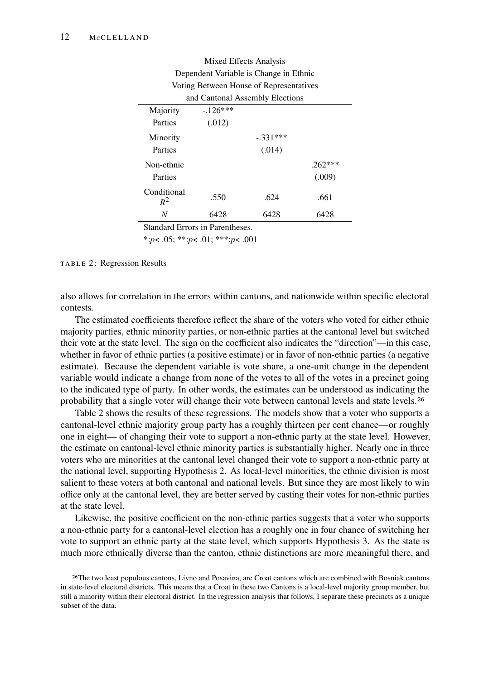<span id="page-11-1"></span>

| Mixed Effects Analysis                  |           |            |           |  |
|-----------------------------------------|-----------|------------|-----------|--|
| Dependent Variable is Change in Ethnic  |           |            |           |  |
| Voting Between House of Representatives |           |            |           |  |
| and Cantonal Assembly Elections         |           |            |           |  |
| Majority                                | $-126***$ |            |           |  |
| Parties                                 | (.012)    |            |           |  |
| Minority                                |           | $-.331***$ |           |  |
| Parties                                 |           | (.014)     |           |  |
| Non-ethnic                              |           |            | $.262***$ |  |
| Parties                                 |           |            | (.009)    |  |
| Conditional<br>$R^2$                    | .550      | .624       | .661      |  |
| N                                       | 6428      | 6428       | 6428      |  |

Standard Errors in Parentheses.

\*:*p*< .05; \*\*:*p*< .01; \*\*\*:*p*< .001

TABLE 2: Regression Results

also allows for correlation in the errors within cantons, and nationwide within specific electoral contests.

The estimated coefficients therefore reflect the share of the voters who voted for either ethnic majority parties, ethnic minority parties, or non-ethnic parties at the cantonal level but switched their vote at the state level. The sign on the coefficient also indicates the "direction"—in this case, whether in favor of ethnic parties (a positive estimate) or in favor of non-ethnic parties (a negative estimate). Because the dependent variable is vote share, a one-unit change in the dependent variable would indicate a change from none of the votes to all of the votes in a precinct going to the indicated type of party. In other words, the estimates can be understood as indicating the probability that a single voter will change their vote between cantonal levels and state levels.<sup>[26](#page-11-0)</sup>

Table [2](#page-11-1) shows the results of these regressions. The models show that a voter who supports a cantonal-level ethnic majority group party has a roughly thirteen per cent chance—or roughly one in eight— of changing their vote to support a non-ethnic party at the state level. However, the estimate on cantonal-level ethnic minority parties is substantially higher. Nearly one in three voters who are minorities at the cantonal level changed their vote to support a non-ethnic party at the national level, supporting Hypothesis 2. As local-level minorities, the ethnic division is most salient to these voters at both cantonal and national levels. But since they are most likely to win office only at the cantonal level, they are better served by casting their votes for non-ethnic parties at the state level.

Likewise, the positive coefficient on the non-ethnic parties suggests that a voter who supports a non-ethnic party for a cantonal-level election has a roughly one in four chance of switching her vote to support an ethnic party at the state level, which supports Hypothesis 3. As the state is much more ethnically diverse than the canton, ethnic distinctions are more meaningful there, and

<span id="page-11-0"></span><sup>26</sup>The two least populous cantons, Livno and Posavina, are Croat cantons which are combined with Bosniak cantons in state-level electoral districts. This means that a Croat in these two Cantons is a local-level majority group member, but still a minority within their electoral district. In the regression analysis that follows, I separate these precincts as a unique subset of the data.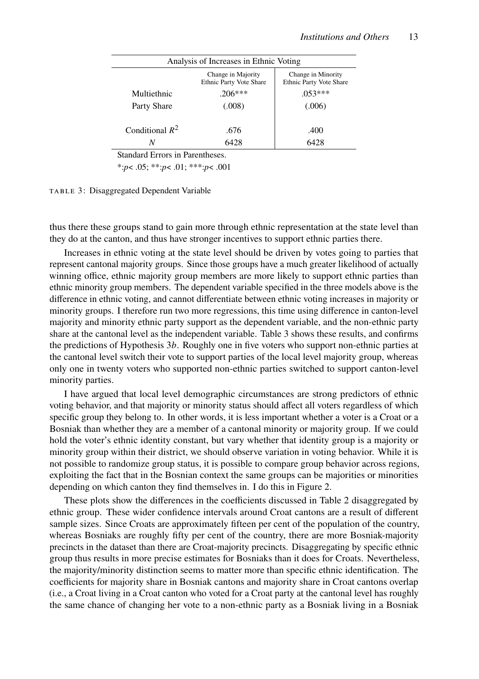<span id="page-12-0"></span>

| Analysis of Increases in Ethnic Voting |                                                      |                                                      |  |  |
|----------------------------------------|------------------------------------------------------|------------------------------------------------------|--|--|
|                                        | Change in Majority<br><b>Ethnic Party Vote Share</b> | Change in Minority<br><b>Ethnic Party Vote Share</b> |  |  |
| Multiethnic                            | $.206***$                                            | $.053***$                                            |  |  |
| Party Share                            | (.008)                                               | (.006)                                               |  |  |
|                                        |                                                      |                                                      |  |  |
| Conditional $R^2$                      | .676                                                 | .400                                                 |  |  |
|                                        | 6428                                                 | 6428                                                 |  |  |
|                                        |                                                      |                                                      |  |  |

Standard Errors in Parentheses.

\*:*p*< .05; \*\*:*p*< .01; \*\*\*:*p*< .001

TABLE 3: Disaggregated Dependent Variable

thus there these groups stand to gain more through ethnic representation at the state level than they do at the canton, and thus have stronger incentives to support ethnic parties there.

Increases in ethnic voting at the state level should be driven by votes going to parties that represent cantonal majority groups. Since those groups have a much greater likelihood of actually winning office, ethnic majority group members are more likely to support ethnic parties than ethnic minority group members. The dependent variable specified in the three models above is the difference in ethnic voting, and cannot differentiate between ethnic voting increases in majority or minority groups. I therefore run two more regressions, this time using difference in canton-level majority and minority ethnic party support as the dependent variable, and the non-ethnic party share at the cantonal level as the independent variable. Table [3](#page-12-0) shows these results, and confirms the predictions of Hypothesis  $3b$ . Roughly one in five voters who support non-ethnic parties at the cantonal level switch their vote to support parties of the local level majority group, whereas only one in twenty voters who supported non-ethnic parties switched to support canton-level minority parties.

I have argued that local level demographic circumstances are strong predictors of ethnic voting behavior, and that majority or minority status should affect all voters regardless of which specific group they belong to. In other words, it is less important whether a voter is a Croat or a Bosniak than whether they are a member of a cantonal minority or majority group. If we could hold the voter's ethnic identity constant, but vary whether that identity group is a majority or minority group within their district, we should observe variation in voting behavior. While it is not possible to randomize group status, it is possible to compare group behavior across regions, exploiting the fact that in the Bosnian context the same groups can be majorities or minorities depending on which canton they find themselves in. I do this in Figure [2.](#page-13-0)

These plots show the differences in the coefficients discussed in Table [2](#page-11-1) disaggregated by ethnic group. These wider confidence intervals around Croat cantons are a result of different sample sizes. Since Croats are approximately fifteen per cent of the population of the country, whereas Bosniaks are roughly fifty per cent of the country, there are more Bosniak-majority precincts in the dataset than there are Croat-majority precincts. Disaggregating by specific ethnic group thus results in more precise estimates for Bosniaks than it does for Croats. Nevertheless, the majority/minority distinction seems to matter more than specific ethnic identification. The coefficients for majority share in Bosniak cantons and majority share in Croat cantons overlap (i.e., a Croat living in a Croat canton who voted for a Croat party at the cantonal level has roughly the same chance of changing her vote to a non-ethnic party as a Bosniak living in a Bosniak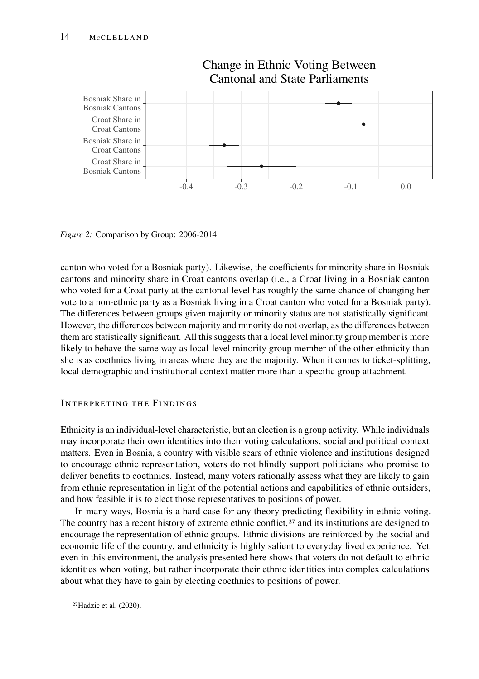<span id="page-13-0"></span>

Change in Ethnic Voting Between Cantonal and State Parliaments

*Figure 2:* Comparison by Group: 2006-2014

canton who voted for a Bosniak party). Likewise, the coefficients for minority share in Bosniak cantons and minority share in Croat cantons overlap (i.e., a Croat living in a Bosniak canton who voted for a Croat party at the cantonal level has roughly the same chance of changing her vote to a non-ethnic party as a Bosniak living in a Croat canton who voted for a Bosniak party). The differences between groups given majority or minority status are not statistically significant. However, the differences between majority and minority do not overlap, as the differences between them are statistically significant. All this suggests that a local level minority group member is more likely to behave the same way as local-level minority group member of the other ethnicity than she is as coethnics living in areas where they are the majority. When it comes to ticket-splitting, local demographic and institutional context matter more than a specific group attachment.

# INTERPRETING THE FINDINGS

Ethnicity is an individual-level characteristic, but an election is a group activity. While individuals may incorporate their own identities into their voting calculations, social and political context matters. Even in Bosnia, a country with visible scars of ethnic violence and institutions designed to encourage ethnic representation, voters do not blindly support politicians who promise to deliver benefits to coethnics. Instead, many voters rationally assess what they are likely to gain from ethnic representation in light of the potential actions and capabilities of ethnic outsiders, and how feasible it is to elect those representatives to positions of power.

In many ways, Bosnia is a hard case for any theory predicting flexibility in ethnic voting. The country has a recent history of extreme ethnic conflict, $27$  and its institutions are designed to encourage the representation of ethnic groups. Ethnic divisions are reinforced by the social and economic life of the country, and ethnicity is highly salient to everyday lived experience. Yet even in this environment, the analysis presented here shows that voters do not default to ethnic identities when voting, but rather incorporate their ethnic identities into complex calculations about what they have to gain by electing coethnics to positions of power.

<span id="page-13-1"></span>27[Hadzic et al.](#page-16-13) [\(2020\)](#page-16-13).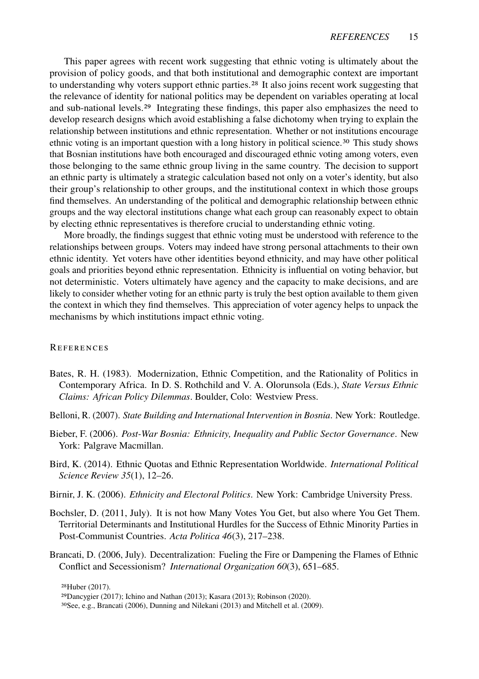This paper agrees with recent work suggesting that ethnic voting is ultimately about the provision of policy goods, and that both institutional and demographic context are important to understanding why voters support ethnic parties.<sup>[28](#page-14-6)</sup> It also joins recent work suggesting that the relevance of identity for national politics may be dependent on variables operating at local and sub-national levels.<sup>[29](#page-14-7)</sup> Integrating these findings, this paper also emphasizes the need to develop research designs which avoid establishing a false dichotomy when trying to explain the relationship between institutions and ethnic representation. Whether or not institutions encourage ethnic voting is an important question with a long history in political science.<sup>[30](#page-14-8)</sup> This study shows that Bosnian institutions have both encouraged and discouraged ethnic voting among voters, even those belonging to the same ethnic group living in the same country. The decision to support an ethnic party is ultimately a strategic calculation based not only on a voter's identity, but also their group's relationship to other groups, and the institutional context in which those groups find themselves. An understanding of the political and demographic relationship between ethnic groups and the way electoral institutions change what each group can reasonably expect to obtain by electing ethnic representatives is therefore crucial to understanding ethnic voting.

More broadly, the findings suggest that ethnic voting must be understood with reference to the relationships between groups. Voters may indeed have strong personal attachments to their own ethnic identity. Yet voters have other identities beyond ethnicity, and may have other political goals and priorities beyond ethnic representation. Ethnicity is influential on voting behavior, but not deterministic. Voters ultimately have agency and the capacity to make decisions, and are likely to consider whether voting for an ethnic party is truly the best option available to them given the context in which they find themselves. This appreciation of voter agency helps to unpack the mechanisms by which institutions impact ethnic voting.

#### **REFERENCES**

- <span id="page-14-0"></span>Bates, R. H. (1983). Modernization, Ethnic Competition, and the Rationality of Politics in Contemporary Africa. In D. S. Rothchild and V. A. Olorunsola (Eds.), *State Versus Ethnic Claims: African Policy Dilemmas*. Boulder, Colo: Westview Press.
- <span id="page-14-4"></span>Belloni, R. (2007). *State Building and International Intervention in Bosnia*. New York: Routledge.
- <span id="page-14-5"></span>Bieber, F. (2006). *Post-War Bosnia: Ethnicity, Inequality and Public Sector Governance*. New York: Palgrave Macmillan.
- <span id="page-14-3"></span>Bird, K. (2014). Ethnic Quotas and Ethnic Representation Worldwide. *International Political Science Review 35*(1), 12–26.
- <span id="page-14-1"></span>Birnir, J. K. (2006). *Ethnicity and Electoral Politics*. New York: Cambridge University Press.
- <span id="page-14-2"></span>Bochsler, D. (2011, July). It is not how Many Votes You Get, but also where You Get Them. Territorial Determinants and Institutional Hurdles for the Success of Ethnic Minority Parties in Post-Communist Countries. *Acta Politica 46*(3), 217–238.
- <span id="page-14-9"></span>Brancati, D. (2006, July). Decentralization: Fueling the Fire or Dampening the Flames of Ethnic Conflict and Secessionism? *International Organization 60*(3), 651–685.

<span id="page-14-6"></span>28[Huber](#page-16-14) [\(2017\)](#page-16-14).

<span id="page-14-7"></span><sup>29</sup>[Dancygier](#page-15-17) [\(2017\)](#page-15-17); [Ichino and Nathan](#page-16-15) [\(2013\)](#page-16-15); [Kasara](#page-16-16) [\(2013\)](#page-16-16); [Robinson](#page-17-10) [\(2020\)](#page-17-10).

<span id="page-14-8"></span><sup>30</sup>See, e.g., [Brancati](#page-14-9) [\(2006\)](#page-14-9), [Dunning and Nilekani](#page-15-18) [\(2013\)](#page-15-18) and [Mitchell et al.](#page-16-17) [\(2009\)](#page-16-17).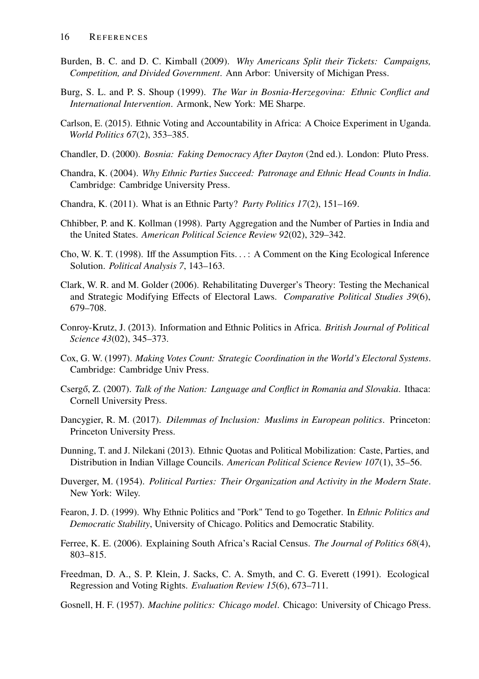- <span id="page-15-13"></span>Burden, B. C. and D. C. Kimball (2009). *Why Americans Split their Tickets: Campaigns, Competition, and Divided Government*. Ann Arbor: University of Michigan Press.
- <span id="page-15-10"></span>Burg, S. L. and P. S. Shoup (1999). *The War in Bosnia-Herzegovina: Ethnic Conflict and International Intervention*. Armonk, New York: ME Sharpe.
- <span id="page-15-2"></span>Carlson, E. (2015). Ethnic Voting and Accountability in Africa: A Choice Experiment in Uganda. *World Politics 67*(2), 353–385.
- <span id="page-15-11"></span>Chandler, D. (2000). *Bosnia: Faking Democracy After Dayton* (2nd ed.). London: Pluto Press.
- <span id="page-15-1"></span>Chandra, K. (2004). *Why Ethnic Parties Succeed: Patronage and Ethnic Head Counts in India*. Cambridge: Cambridge University Press.
- <span id="page-15-12"></span>Chandra, K. (2011). What is an Ethnic Party? *Party Politics 17*(2), 151–169.
- <span id="page-15-7"></span>Chhibber, P. and K. Kollman (1998). Party Aggregation and the Number of Parties in India and the United States. *American Political Science Review 92*(02), 329–342.
- <span id="page-15-14"></span>Cho, W. K. T. (1998). Iff the Assumption Fits. . . : A Comment on the King Ecological Inference Solution. *Political Analysis 7*, 143–163.
- <span id="page-15-5"></span>Clark, W. R. and M. Golder (2006). Rehabilitating Duverger's Theory: Testing the Mechanical and Strategic Modifying Effects of Electoral Laws. *Comparative Political Studies 39*(6), 679–708.
- <span id="page-15-3"></span>Conroy-Krutz, J. (2013). Information and Ethnic Politics in Africa. *British Journal of Political Science 43*(02), 345–373.
- <span id="page-15-0"></span>Cox, G. W. (1997). *Making Votes Count: Strategic Coordination in the World's Electoral Systems*. Cambridge: Cambridge Univ Press.
- <span id="page-15-8"></span>Csergő, Z. (2007). *Talk of the Nation: Language and Conflict in Romania and Slovakia*. Ithaca: Cornell University Press.
- <span id="page-15-17"></span>Dancygier, R. M. (2017). *Dilemmas of Inclusion: Muslims in European politics*. Princeton: Princeton University Press.
- <span id="page-15-18"></span>Dunning, T. and J. Nilekani (2013). Ethnic Quotas and Political Mobilization: Caste, Parties, and Distribution in Indian Village Councils. *American Political Science Review 107*(1), 35–56.
- <span id="page-15-6"></span>Duverger, M. (1954). *Political Parties: Their Organization and Activity in the Modern State*. New York: Wiley.
- <span id="page-15-9"></span>Fearon, J. D. (1999). Why Ethnic Politics and "Pork" Tend to go Together. In *Ethnic Politics and Democratic Stability*, University of Chicago. Politics and Democratic Stability.
- <span id="page-15-4"></span>Ferree, K. E. (2006). Explaining South Africa's Racial Census. *The Journal of Politics 68*(4), 803–815.
- <span id="page-15-15"></span>Freedman, D. A., S. P. Klein, J. Sacks, C. A. Smyth, and C. G. Everett (1991). Ecological Regression and Voting Rights. *Evaluation Review 15*(6), 673–711.
- <span id="page-15-16"></span>Gosnell, H. F. (1957). *Machine politics: Chicago model*. Chicago: University of Chicago Press.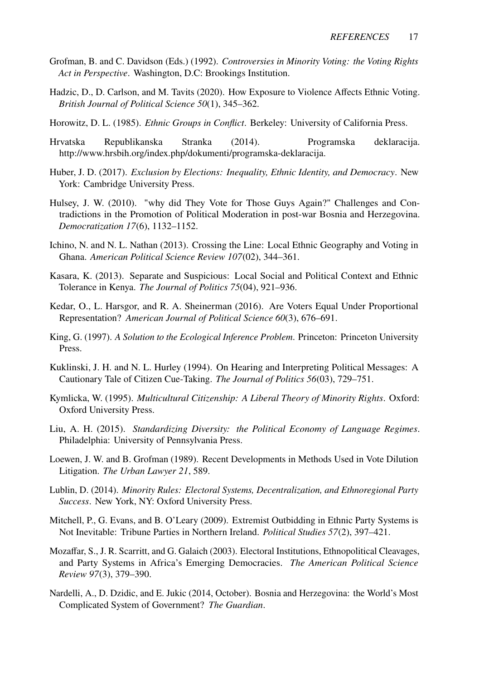- <span id="page-16-10"></span>Grofman, B. and C. Davidson (Eds.) (1992). *Controversies in Minority Voting: the Voting Rights Act in Perspective*. Washington, D.C: Brookings Institution.
- <span id="page-16-13"></span>Hadzic, D., D. Carlson, and M. Tavits (2020). How Exposure to Violence Affects Ethnic Voting. *British Journal of Political Science 50*(1), 345–362.
- <span id="page-16-8"></span>Horowitz, D. L. (1985). *Ethnic Groups in Conflict*. Berkeley: University of California Press.
- <span id="page-16-7"></span>Hrvatska Republikanska Stranka (2014). Programska deklaracija. http://www.hrsbih.org/index.php/dokumenti/programska-deklaracija.
- <span id="page-16-14"></span>Huber, J. D. (2017). *Exclusion by Elections: Inequality, Ethnic Identity, and Democracy*. New York: Cambridge University Press.
- <span id="page-16-12"></span>Hulsey, J. W. (2010). "why did They Vote for Those Guys Again?" Challenges and Contradictions in the Promotion of Political Moderation in post-war Bosnia and Herzegovina. *Democratization 17*(6), 1132–1152.
- <span id="page-16-15"></span>Ichino, N. and N. L. Nathan (2013). Crossing the Line: Local Ethnic Geography and Voting in Ghana. *American Political Science Review 107*(02), 344–361.
- <span id="page-16-16"></span>Kasara, K. (2013). Separate and Suspicious: Local Social and Political Context and Ethnic Tolerance in Kenya. *The Journal of Politics 75*(04), 921–936.
- <span id="page-16-2"></span>Kedar, O., L. Harsgor, and R. A. Sheinerman (2016). Are Voters Equal Under Proportional Representation? *American Journal of Political Science 60*(3), 676–691.
- <span id="page-16-9"></span>King, G. (1997). *A Solution to the Ecological Inference Problem*. Princeton: Princeton University Press.
- <span id="page-16-0"></span>Kuklinski, J. H. and N. L. Hurley (1994). On Hearing and Interpreting Political Messages: A Cautionary Tale of Citizen Cue-Taking. *The Journal of Politics 56*(03), 729–751.
- <span id="page-16-4"></span>Kymlicka, W. (1995). *Multicultural Citizenship: A Liberal Theory of Minority Rights*. Oxford: Oxford University Press.
- <span id="page-16-5"></span>Liu, A. H. (2015). *Standardizing Diversity: the Political Economy of Language Regimes*. Philadelphia: University of Pennsylvania Press.
- <span id="page-16-11"></span>Loewen, J. W. and B. Grofman (1989). Recent Developments in Methods Used in Vote Dilution Litigation. *The Urban Lawyer 21*, 589.
- <span id="page-16-3"></span>Lublin, D. (2014). *Minority Rules: Electoral Systems, Decentralization, and Ethnoregional Party Success*. New York, NY: Oxford University Press.
- <span id="page-16-17"></span>Mitchell, P., G. Evans, and B. O'Leary (2009). Extremist Outbidding in Ethnic Party Systems is Not Inevitable: Tribune Parties in Northern Ireland. *Political Studies 57*(2), 397–421.
- <span id="page-16-1"></span>Mozaffar, S., J. R. Scarritt, and G. Galaich (2003). Electoral Institutions, Ethnopolitical Cleavages, and Party Systems in Africa's Emerging Democracies. *The American Political Science Review 97*(3), 379–390.
- <span id="page-16-6"></span>Nardelli, A., D. Dzidic, and E. Jukic (2014, October). Bosnia and Herzegovina: the World's Most Complicated System of Government? *The Guardian*.